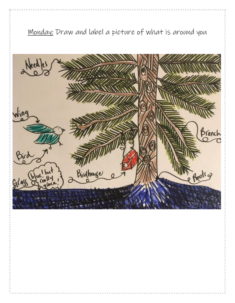

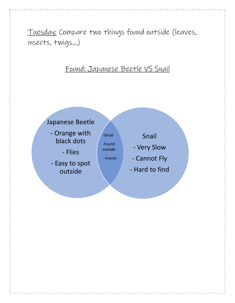Tuesday: Compare two things found outside (leaves, insects, twigs…)

# Found: Japanese Beetle VS Snail

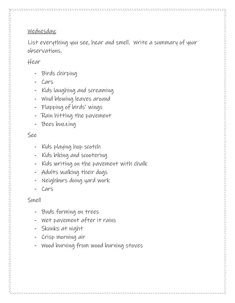## Wednesday:

List everything you see, hear and smell. Write a summary of your observations.

### Hear

- Birds chirping
- Cars
- Kids laughing and screaming
- Wind blowing leaves around
- Flapping of birds' wings
- Rain hitting the pavement
- Bees buzzing

#### See

- Kids playing hop scotch
- Kids biking and scootering
- Kids writing on the pavement with chalk
- Adults walking their dogs
- Neighbors doing yard work
- Cars

### Smell

- Buds forming on trees
- Wet pavement after it rains
- Skunks at night
- Crisp morning air
- Wood burning from wood burning stoves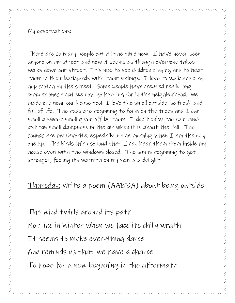My observations:

There are so many people out all the time now. I have never seen anyone on my street and now it seems as though everyone takes walks down our street. It's nice to see children playing and to hear them in their backyards with their siblings. I love to walk and play hop scotch on the street. Some people have created really long complex ones that we now go hunting for in the neighborhood. We made one near our house too! I love the smell outside, so fresh and full of life. The buds are beginning to form on the trees and  $\mathcal I$  can smell a sweet smell given off by them. I don't enjoy the rain much but can smell dampness in the air when it is about the fall. The sounds are my favorite, especially in the morning when  $I$  am the only one up. The birds chirp so loud that  $I$  can hear them from inside my house even with the windows closed. The sun is beginning to get stronger, feeling its warmth on my skin is a delight!

Thursday: Write a poem (AABBA) about being outside

The wind twirls around its path Not like in Winter when we face its chilly wrath It seems to make everything dance And reminds us that we have a chance To hope for a new beginning in the aftermath